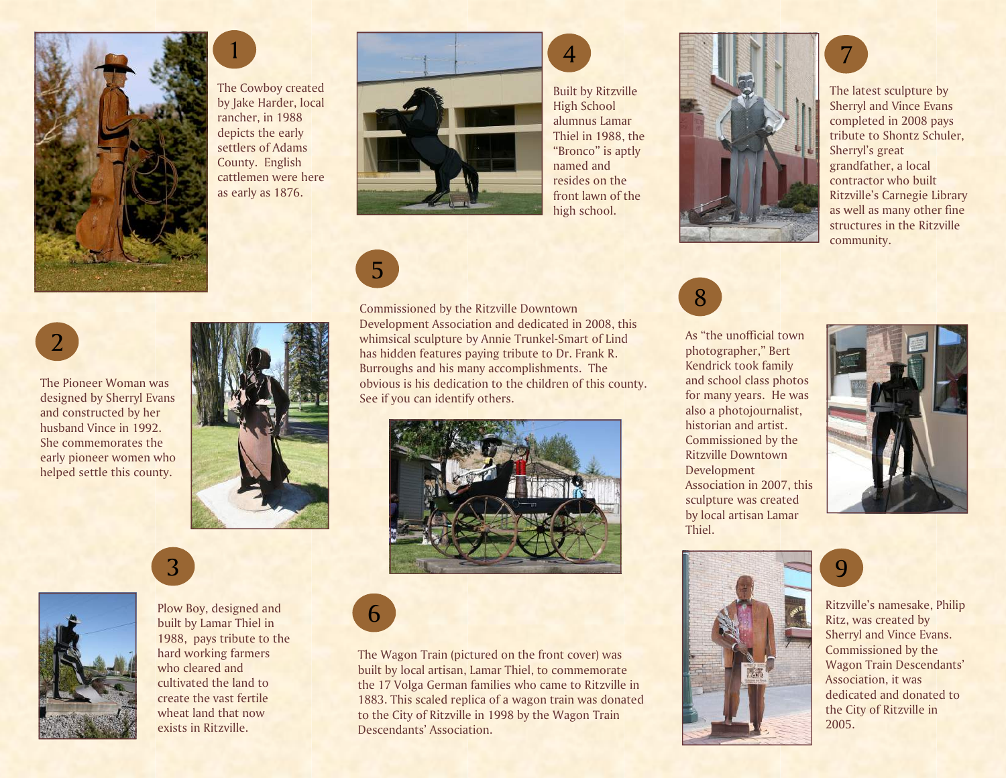

The Pioneer Woman was designed by Sherryl Evans and constructed by her husband Vince in 1992. She commemorates the early pioneer women who helped settle this county.

2



The Cowboy created by Jake Harder, local rancher, in 1988 depicts the early settlers of Adams County. English cattlemen were here as early as 1876.



Built by Ritzville High School alumnus Lamar Thiel in 1988, the "Bronco" is aptly named and resides on the front lawn of the high school.

4



Commissioned by the Ritzville Downtown Development Association and dedicated in 2008, thiswhimsical sculpture by Annie Trunkel-Smart of Lind has hidden features paying tribute to Dr. Frank R. Burroughs and his many accomplishments. The obvious is his dedication to the children of this county. See if you can identify others.





Plow Boy, designed and built by Lamar Thiel in 1988, pays tribute to the hard working farmers who cleared and cultivated the land to create the vast fertile wheat land that now exists in Ritzville.

3



The Wagon Train (pictured on the front cover) was built by local artisan, Lamar Thiel, to commemorate the 17 Volga German families who came to Ritzville in 1883. This scaled replica of a wagon train was donated to the City of Ritzville in 1998 by the Wagon TrainDescendants' Association.



The latest sculpture by Sherryl and Vince Evans completed in 2008 pays tribute to Shontz Schuler, Sherryl's great grandfather, a local contractor who built Ritzville's Carnegie Library as well as many other fine structures in the Ritzville community.

7



As "the unofficial town photographer," Bert Kendrick took family and school class photos for many years. He was also a photojournalist, historian and artist. Commissioned by the Ritzville Downtown Development Association in 2007, this sculpture was created by local artisan Lamar Thiel.





Ritzville's namesake, Philip Ritz, was created by Sherryl and Vince Evans. Commissioned by the Wagon Train Descendants' Association, it was dedicated and donated to the City of Ritzville in 2005.

9